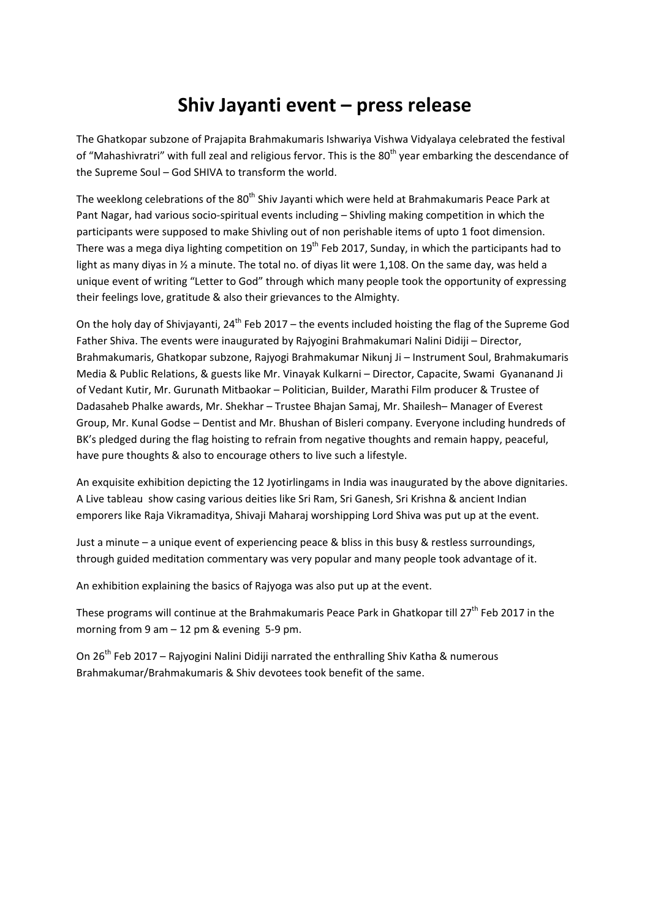## **Shiv Jayanti event – press release**

The Ghatkopar subzone of Prajapita Brahmakumaris Ishwariya Vishwa Vidyalaya celebrated the festival of "Mahashivratri" with full zeal and religious fervor. This is the 80<sup>th</sup> year embarking the descendance of the Supreme Soul – God SHIVA to transform the world.

The weeklong celebrations of the 80<sup>th</sup> Shiv Jayanti which were held at Brahmakumaris Peace Park at Pant Nagar, had various socio-spiritual events including – Shivling making competition in which the participants were supposed to make Shivling out of non perishable items of upto 1 foot dimension. There was a mega diya lighting competition on 19<sup>th</sup> Feb 2017, Sunday, in which the participants had to light as many diyas in 1/2 a minute. The total no. of diyas lit were 1,108. On the same day, was held a unique event of writing "Letter to God" through which many people took the opportunity of expressing their feelings love, gratitude & also their grievances to the Almighty.

On the holy day of Shivjayanti,  $24^{th}$  Feb 2017 – the events included hoisting the flag of the Supreme God Father Shiva. The events were inaugurated by Rajyogini Brahmakumari Nalini Didiji – Director, Brahmakumaris, Ghatkopar subzone, Rajyogi Brahmakumar Nikunj Ji – Instrument Soul, Brahmakumaris Media & Public Relations, & guests like Mr. Vinayak Kulkarni – Director, Capacite, Swami Gyananand Ji of Vedant Kutir, Mr. Gurunath Mitbaokar – Politician, Builder, Marathi Film producer & Trustee of Dadasaheb Phalke awards, Mr. Shekhar – Trustee Bhajan Samaj, Mr. Shailesh– Manager of Everest Group, Mr. Kunal Godse – Dentist and Mr. Bhushan of Bisleri company. Everyone including hundreds of BK's pledged during the flag hoisting to refrain from negative thoughts and remain happy, peaceful, have pure thoughts & also to encourage others to live such a lifestyle.

An exquisite exhibition depicting the 12 Jyotirlingams in India was inaugurated by the above dignitaries. A Live tableau show casing various deities like Sri Ram, Sri Ganesh, Sri Krishna & ancient Indian emporers like Raja Vikramaditya, Shivaji Maharaj worshipping Lord Shiva was put up at the event.

Just a minute – a unique event of experiencing peace & bliss in this busy & restless surroundings, through guided meditation commentary was very popular and many people took advantage of it.

An exhibition explaining the basics of Rajyoga was also put up at the event.

These programs will continue at the Brahmakumaris Peace Park in Ghatkopar till 27<sup>th</sup> Feb 2017 in the morning from 9 am – 12 pm & evening 5‐9 pm.

On 26<sup>th</sup> Feb 2017 – Rajyogini Nalini Didiji narrated the enthralling Shiv Katha & numerous Brahmakumar/Brahmakumaris & Shiv devotees took benefit of the same.